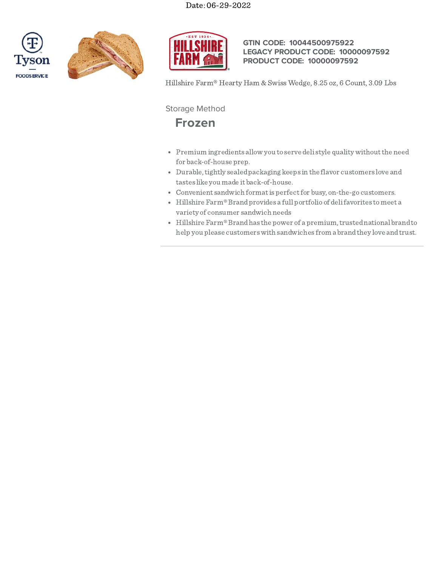





## **GTIN CODE: 10044500975922 LEGACY PRODUCT CODE: 10000097592 PRODUCT CODE: 10000097592**

Hillshire Farm® Hearty Ham & Swiss Wedge, 8.25 oz, 6 Count, 3.09 Lbs

Storage Method

# **Frozen**

- Premium ingredients allow you to serve deli style quality without the need for back-of-house prep.
- Durable, tightly sealed packaging keeps in the flavor customers love and tastes like you made it back-of-house.
- Convenient sandwich formatis perfectfor busy, on-the-go customers.
- Hillshire Farm®Brandprovides a full portfolio of delifavorites tomeet a variety of consumer sandwich needs
- Hillshire  $\mathrm{Farm}^{\circledast}$  Brand has the power of a premium, trusted national brand to help you please customerswith sandwiches from a brandthey love andtrust.